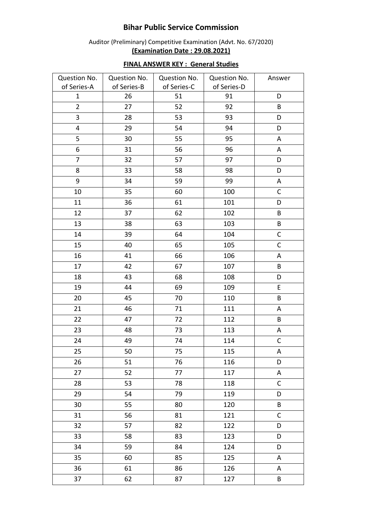## **Bihar Public Service Commission**

## Auditor (Preliminary) Competitive Examination (Advt. No. 67/2020) **(Examination Date : 29.08.2021)**

| Question No.            | Question No. | Question No. | Question No. | Answer       |
|-------------------------|--------------|--------------|--------------|--------------|
| of Series-A             | of Series-B  | of Series-C  | of Series-D  |              |
| $\mathbf{1}$            | 26           | 51           | 91           | D            |
| $\overline{2}$          | 27           | 52           | 92           | B            |
| $\overline{3}$          | 28           | 53           | 93           | D            |
| $\overline{\mathbf{4}}$ | 29           | 54           | 94           | D            |
| 5                       | 30           | 55           | 95           | A            |
| 6                       | 31           | 56           | 96           | A            |
| 7                       | 32           | 57           | 97           | D            |
| 8                       | 33           | 58           | 98           | D            |
| 9                       | 34           | 59           | 99           | $\mathsf A$  |
| 10                      | 35           | 60           | 100          | $\mathsf C$  |
| 11                      | 36           | 61           | 101          | D            |
| 12                      | 37           | 62           | 102          | B            |
| 13                      | 38           | 63           | 103          | $\sf{B}$     |
| 14                      | 39           | 64           | 104          | $\mathsf C$  |
| 15                      | 40           | 65           | 105          | $\mathsf{C}$ |
| 16                      | 41           | 66           | 106          | A            |
| 17                      | 42           | 67           | 107          | $\sf{B}$     |
| 18                      | 43           | 68           | 108          | D            |
| 19                      | 44           | 69           | 109          | E            |
| 20                      | 45           | 70           | 110          | B            |
| 21                      | 46           | 71           | 111          | A            |
| 22                      | 47           | 72           | 112          | B            |
| 23                      | 48           | 73           | 113          | A            |
| 24                      | 49           | 74           | 114          | $\mathsf C$  |
| 25                      | 50           | 75           | 115          | A            |
| 26                      | 51           | 76           | 116          | D            |
| 27                      | 52           | 77           | 117          | A            |
| 28                      | 53           | 78           | 118          | C            |
| 29                      | 54           | 79           | 119          | D            |
| 30                      | 55           | 80           | 120          | B            |
| 31                      | 56           | 81           | 121          | $\mathsf{C}$ |
| 32                      | 57           | 82           | 122          | D            |
| 33                      | 58           | 83           | 123          | D            |
| 34                      | 59           | 84           | 124          | D            |
| 35                      | 60           | 85           | 125          | A            |
| 36                      | 61           | 86           | 126          | A            |
| 37                      | 62           | 87           | 127          | B            |

## **FINAL ANSWER KEY : General Studies**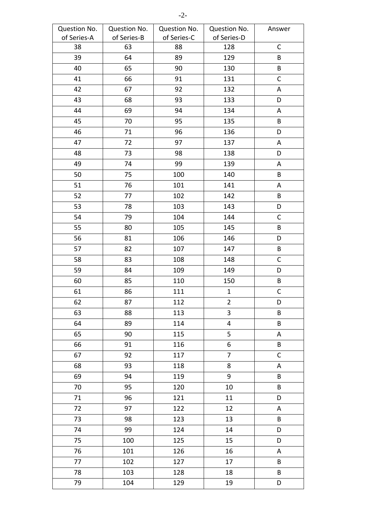| Question No. | Question No. | Question No. | Question No.   | Answer       |
|--------------|--------------|--------------|----------------|--------------|
| of Series-A  | of Series-B  | of Series-C  | of Series-D    |              |
| 38           | 63           | 88           | 128            | $\mathsf C$  |
| 39           | 64           | 89           | 129            | B            |
| 40           | 65           | 90           | 130            | B            |
| 41           | 66           | 91           | 131            | $\mathsf C$  |
| 42           | 67           | 92           | 132            | A            |
| 43           | 68           | 93           | 133            | D            |
| 44           | 69           | 94           | 134            | A            |
| 45           | 70           | 95           | 135            | $\sf{B}$     |
| 46           | 71           | 96           | 136            | D            |
| 47           | 72           | 97           | 137            | Α            |
| 48           | 73           | 98           | 138            | D            |
| 49           | 74           | 99           | 139            | A            |
| 50           | 75           | 100          | 140            | B            |
| 51           | 76           | 101          | 141            | A            |
| 52           | 77           | 102          | 142            | $\sf{B}$     |
| 53           | 78           | 103          | 143            | D            |
| 54           | 79           | 104          | 144            | $\mathsf C$  |
| 55           | 80           | 105          | 145            | B            |
| 56           | 81           | 106          | 146            | D            |
| 57           | 82           | 107          | 147            | B            |
| 58           | 83           | 108          | 148            | $\mathsf{C}$ |
| 59           | 84           | 109          | 149            | D            |
| 60           | 85           | 110          | 150            | B            |
| 61           | 86           | 111          | $\mathbf{1}$   | $\mathsf C$  |
| 62           | 87           | 112          | $\overline{2}$ | D            |
| 63           | 88           | 113          | 3              | B            |
| 64           | 89           | 114          | 4              | B            |
| 65           | 90           | 115          | 5              | A            |
| 66           | 91           | 116          | 6              | B            |
| 67           | 92           | 117          | $\overline{7}$ | $\mathsf{C}$ |
| 68           | 93           | 118          | 8              | A            |
| 69           | 94           | 119          | 9              | B            |
| 70           | 95           | 120          | 10             | B            |
| 71           | 96           | 121          | 11             | D            |
| 72           | 97           | 122          | 12             | A            |
| 73           | 98           | 123          | 13             | $\sf{B}$     |
| 74           | 99           | 124          | 14             | D            |
| 75           | 100          | 125          | 15             | D            |
| 76           | 101          | 126          | 16             | A            |
| 77           | 102          | 127          | 17             | B            |
| 78           | 103          | 128          | 18             | B            |
| 79           | 104          | 129          | 19             | D            |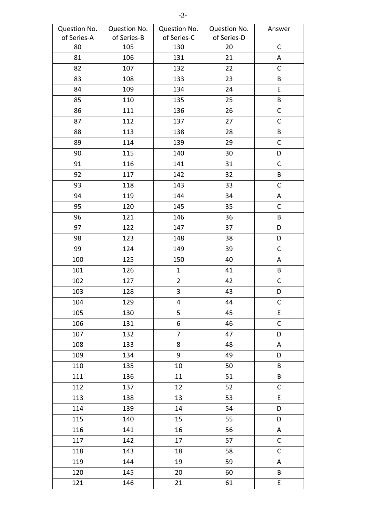| Question No. | Question No. | Question No.   | Question No. | Answer       |
|--------------|--------------|----------------|--------------|--------------|
| of Series-A  | of Series-B  | of Series-C    | of Series-D  |              |
| 80           | 105          | 130            | 20           | $\mathsf C$  |
| 81           | 106          | 131            | 21           | Α            |
| 82           | 107          | 132            | 22           | $\mathsf{C}$ |
| 83           | 108          | 133            | 23           | B            |
| 84           | 109          | 134            | 24           | E            |
| 85           | 110          | 135            | 25           | B            |
| 86           | 111          | 136            | 26           | $\mathsf C$  |
| 87           | 112          | 137            | 27           | $\mathsf C$  |
| 88           | 113          | 138            | 28           | B            |
| 89           | 114          | 139            | 29           | $\mathsf{C}$ |
| 90           | 115          | 140            | 30           | D            |
| 91           | 116          | 141            | 31           | $\mathsf C$  |
| 92           | 117          | 142            | 32           | $\sf{B}$     |
| 93           | 118          | 143            | 33           | $\mathsf C$  |
| 94           | 119          | 144            | 34           | A            |
| 95           | 120          | 145            | 35           | C            |
| 96           | 121          | 146            | 36           | $\sf{B}$     |
| 97           | 122          | 147            | 37           | D            |
| 98           | 123          | 148            | 38           | D            |
| 99           | 124          | 149            | 39           | $\mathsf C$  |
| 100          | 125          | 150            | 40           | Α            |
| 101          | 126          | $\mathbf{1}$   | 41           | B            |
| 102          | 127          | $\overline{2}$ | 42           | $\mathsf C$  |
| 103          | 128          | 3              | 43           | D            |
| 104          | 129          | 4              | 44           | $\mathsf C$  |
| 105          | 130          | 5              | 45           | $\mathsf E$  |
| 106          | 131          | 6              | 46           | $\mathsf{C}$ |
| 107          | 132          | $\overline{7}$ | 47           | D            |
| 108          | 133          | 8              | 48           | A            |
| 109          | 134          | 9              | 49           | D            |
| 110          | 135          | 10             | 50           | B            |
| 111          | 136          | 11             | 51           | B            |
| 112          | 137          | 12             | 52           | $\mathsf{C}$ |
| 113          | 138          | 13             | 53           | E            |
| 114          | 139          | 14             | 54           | D            |
| 115          | 140          | 15             | 55           | D            |
| 116          | 141          | 16             | 56           | A            |
| 117          | 142          | 17             | 57           | $\mathsf C$  |
| 118          | 143          | 18             | 58           | $\mathsf C$  |
| 119          | 144          | 19             | 59           | A            |
| 120          | 145          | 20             | 60           | B            |
| 121          | 146          | 21             | 61           | E            |